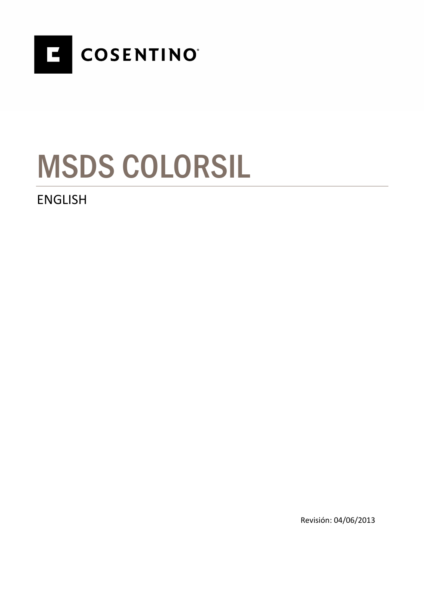

# MSDS COLORSIL

### ENGLISH

Revisión: 04/06/2013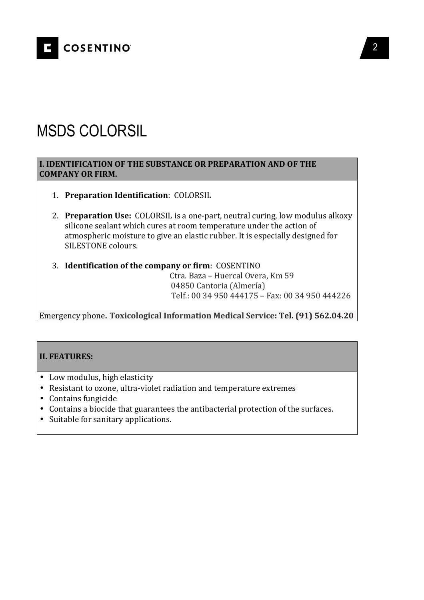

## MSDS COLORSIL

#### **I. IDENTIFICATION OF THE SUBSTANCE OR PREPARATION AND OF THE COMPANY OR FIRM.**

- 1. **Preparation Identification**: COLORSIL
- 2. **Preparation Use:** COLORSIL is a one-part, neutral curing, low modulus alkoxy silicone sealant which cures at room temperature under the action of atmospheric moisture to give an elastic rubber. It is especially designed for SILESTONE colours.
- 3. **Identification of the company or firm**: COSENTINO

 Ctra. Baza – Huercal Overa, Km 59 04850 Cantoria (Almería) Telf.: 00 34 950 444175 – Fax: 00 34 950 444226

Emergency phone**. Toxicological Information Medical Service: Tel. (91) 562.04.20**

#### **II. FEATURES:**

- Low modulus, high elasticity
- Resistant to ozone, ultra-violet radiation and temperature extremes
- Contains fungicide
- Contains a biocide that guarantees the antibacterial protection of the surfaces.
- Suitable for sanitary applications.

2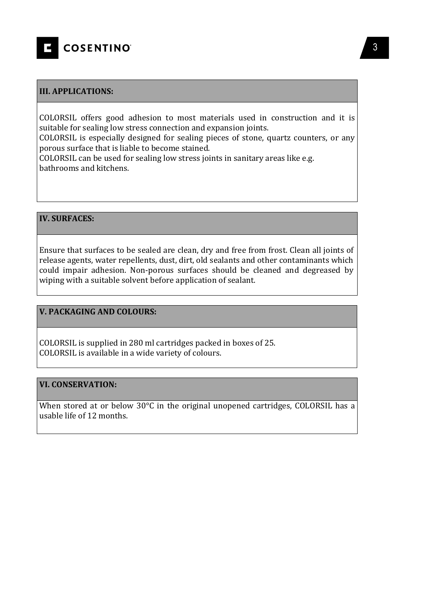

#### **III. APPLICATIONS:**

COLORSIL offers good adhesion to most materials used in construction and it is suitable for sealing low stress connection and expansion joints.

COLORSIL is especially designed for sealing pieces of stone, quartz counters, or any porous surface that is liable to become stained.

COLORSIL can be used for sealing low stress joints in sanitary areas like e.g. bathrooms and kitchens.

#### **IV. SURFACES:**

Ensure that surfaces to be sealed are clean, dry and free from frost. Clean all joints of release agents, water repellents, dust, dirt, old sealants and other contaminants which could impair adhesion. Non-porous surfaces should be cleaned and degreased by wiping with a suitable solvent before application of sealant.

#### **V. PACKAGING AND COLOURS:**

COLORSIL is supplied in 280 ml cartridges packed in boxes of 25. COLORSIL is available in a wide variety of colours.

#### **VI. CONSERVATION:**

When stored at or below 30°C in the original unopened cartridges, COLORSIL has a usable life of 12 months.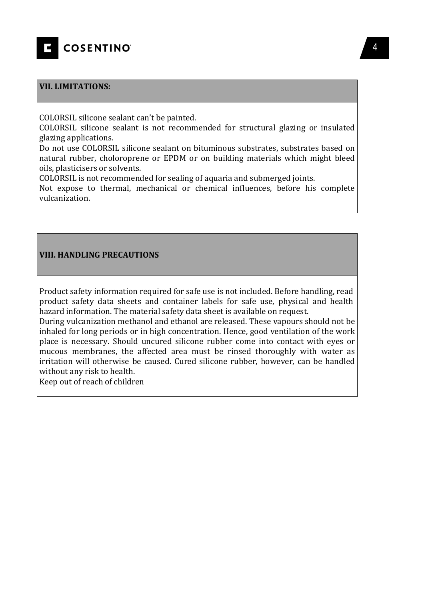

#### **VII. LIMITATIONS:**

COLORSIL silicone sealant can't be painted.

COLORSIL silicone sealant is not recommended for structural glazing or insulated glazing applications.

Do not use COLORSIL silicone sealant on bituminous substrates, substrates based on natural rubber, choloroprene or EPDM or on building materials which might bleed oils, plasticisers or solvents.

COLORSIL is not recommended for sealing of aquaria and submerged joints.

Not expose to thermal, mechanical or chemical influences, before his complete vulcanization.

#### **VIII. HANDLING PRECAUTIONS**

Product safety information required for safe use is not included. Before handling, read product safety data sheets and container labels for safe use, physical and health hazard information. The material safety data sheet is available on request.

During vulcanization methanol and ethanol are released. These vapours should not be inhaled for long periods or in high concentration. Hence, good ventilation of the work place is necessary. Should uncured silicone rubber come into contact with eyes or mucous membranes, the affected area must be rinsed thoroughly with water as irritation will otherwise be caused. Cured silicone rubber, however, can be handled without any risk to health.

Keep out of reach of children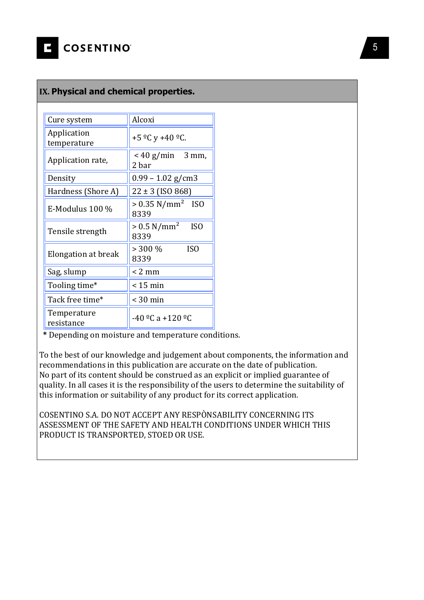#### **IX. Physical and chemical properties.**

| Cure system                | Alcoxi                                               |
|----------------------------|------------------------------------------------------|
| Application<br>temperature | +5 $^{\circ}$ C y +40 $^{\circ}$ C.                  |
| Application rate,          | $<$ 40 g/min 3 mm,<br>2 bar                          |
| Density                    | $0.99 - 1.02$ g/cm3                                  |
| Hardness (Shore A)         | $22 \pm 3$ (ISO 868)                                 |
| $E-Modulus$ 100 %          | $> 0.35$ N/mm <sup>2</sup> ISO<br>8339               |
| Tensile strength           | $> 0.5$ N/mm <sup>2</sup><br>IS <sub>0</sub><br>8339 |
| Elongation at break        | $> 300\%$<br>IS <sub>0</sub><br>8339                 |
| Sag, slump                 | $< 2$ mm                                             |
| Tooling time*              | $< 15$ min                                           |
| Tack free time*            | $<$ 30 min                                           |
| Temperature<br>resistance  | $-40$ <sup>o</sup> C a +120 <sup>o</sup> C           |

 **\*** Depending on moisture and temperature conditions.

To the best of our knowledge and judgement about components, the information and recommendations in this publication are accurate on the date of publication. No part of its content should be construed as an explicit or implied guarantee of quality. In all cases it is the responsibility of the users to determine the suitability of this information or suitability of any product for its correct application.

COSENTINO S.A. DO NOT ACCEPT ANY RESPÒNSABILITY CONCERNING ITS ASSESSMENT OF THE SAFETY AND HEALTH CONDITIONS UNDER WHICH THIS PRODUCT IS TRANSPORTED, STOED OR USE.